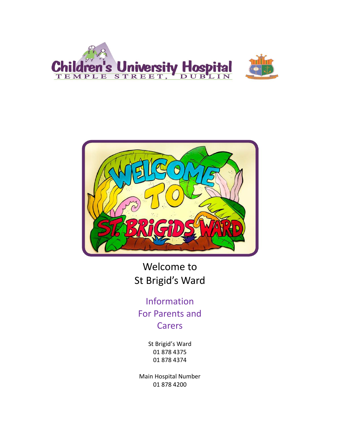



Welcome to St Brigid's Ward

Information For Parents and Carers

> St Brigid's Ward 01 878 4375 01 878 4374

Main Hospital Number 01 878 4200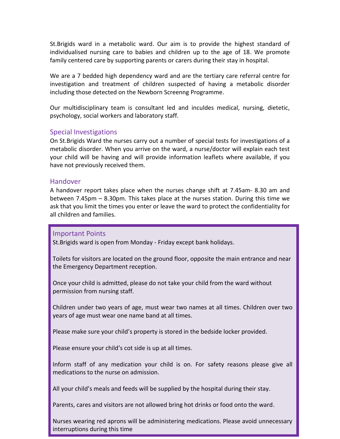St.Brigids ward in a metabolic ward. Our aim is to provide the highest standard of individualised nursing care to babies and children up to the age of 18. We promote family centered care by supporting parents or carers during their stay in hospital.

We are a 7 bedded high dependency ward and are the tertiary care referral centre for investigation and treatment of children suspected of having a metabolic disorder including those detected on the Newborn Screenng Programme.

Our multidisciplinary team is consultant led and inculdes medical, nursing, dietetic, psychology, social workers and laboratory staff.

## Special Investigations

On St.Brigids Ward the nurses carry out a number of special tests for investigations of a metabolic disorder. When you arrive on the ward, a nurse/doctor will explain each test your child will be having and will provide information leaflets where available, if you have not previously received them.

### Handover

A handover report takes place when the nurses change shift at 7.45am- 8.30 am and between 7.45pm – 8.30pm. This takes place at the nurses station. During this time we ask that you limit the times you enter or leave the ward to protect the confidentiality for all children and families.

## Important Points

St.Brigids ward is open from Monday - Friday except bank holidays.

Toilets for visitors are located on the ground floor, opposite the main entrance and near the Emergency Department reception.

Once your child is admitted, please do not take your child from the ward without St.Brigids ward is open from Monday - Friday except bank holidays. permission from nursing staff.

years of age must wear one name band at all times. Children under two years of age, must wear two names at all times. Children over two

Please make sure your child's property is stored in the bedside locker provided.

Please ensure your child's cot side is up at all times.

Inform staff of any medication your child is on. For safety reasons please give all medications to the nurse on admission.<br>medications to the nurse on admission.

All your child's meals and feeds will be supplied by the hospital during their stay.

Parents, cares and visitors are not allowed bring hot drinks or food onto the ward.

Nurses wearing red aprons will be administering medications. Please avoid unnecessary interruptions during this time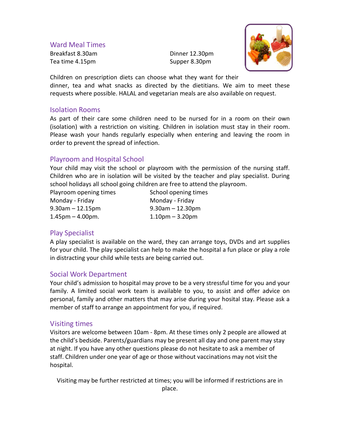Ward Meal Times

Breakfast 8.30am Dinner 12.30pm Tea time 4.15pm Supper 8.30pm



Children on prescription diets can choose what they want for their dinner, tea and what snacks as directed by the dietitians. We aim to meet these requests where possible. HALAL and vegetarian meals are also available on request.

## Isolation Rooms

As part of their care some children need to be nursed for in a room on their own (isolation) with a restriction on visiting. Children in isolation must stay in their room. Please wash your hands regularly especially when entering and leaving the room in order to prevent the spread of infection.

# Playroom and Hospital School

Your child may visit the school or playroom with the permission of the nursing staff. Children who are in isolation will be visited by the teacher and play specialist. During school holidays all school going children are free to attend the playroom.

Playroom opening times School opening times Monday - Friday **Monday - Friday** 9.30am – 12.15pm 9.30am – 12.30pm  $1.45 \text{pm} - 4.00 \text{pm}$ .  $1.10 \text{pm} - 3.20 \text{pm}$ 

## Play Specialist

A play specialist is available on the ward, they can arrange toys, DVDs and art supplies for your child. The play specialist can help to make the hospital a fun place or play a role in distracting your child while tests are being carried out.

## Social Work Department

Your child's admission to hospital may prove to be a very stressful time for you and your family. A limited social work team is available to you, to assist and offer advice on personal, family and other matters that may arise during your hosital stay. Please ask a member of staff to arrange an appointment for you, if required.

## Visiting times

Visitors are welcome between 10am - 8pm. At these times only 2 people are allowed at the child's bedside. Parents/guardians may be present all day and one parent may stay at night. If you have any other questions please do not hesitate to ask a member of staff. Children under one year of age or those without vaccinations may not visit the hospital.

Visiting may be further restricted at times; you will be informed if restrictions are in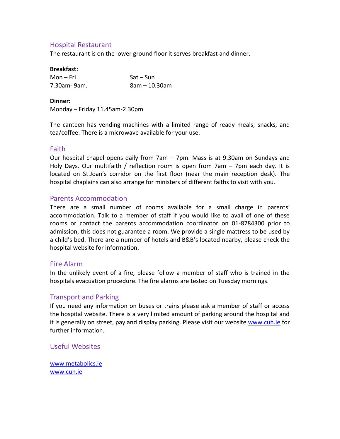# Hospital Restaurant

The restaurant is on the lower ground floor it serves breakfast and dinner.

#### **Breakfast:**

| Mon – Fri   | $Sat-Sun$     |
|-------------|---------------|
| 7.30am-9am. | 8am – 10.30am |

#### **Dinner:**

Monday – Friday 11.45am-2.30pm

The canteen has vending machines with a limited range of ready meals, snacks, and tea/coffee. There is a microwave available for your use.

### Faith

Our hospital chapel opens daily from 7am – 7pm. Mass is at 9.30am on Sundays and Holy Days. Our multifaith / reflection room is open from 7am – 7pm each day. It is located on St.Joan's corridor on the first floor (near the main reception desk). The hospital chaplains can also arrange for ministers of different faiths to visit with you.

## Parents Accommodation

There are a small number of rooms available for a small charge in parents' accommodation. Talk to a member of staff if you would like to avail of one of these rooms or contact the parents accommodation coordinator on 01-8784300 prior to admission, this does not guarantee a room. We provide a single mattress to be used by a child's bed. There are a number of hotels and B&B's located nearby, please check the hospital website for information.

## Fire Alarm

In the unlikely event of a fire, please follow a member of staff who is trained in the hospitals evacuation procedure. The fire alarms are tested on Tuesday mornings.

## Transport and Parking

If you need any information on buses or trains please ask a member of staff or access the hospital website. There is a very limited amount of parking around the hospital and it is generally on street, pay and display parking. Please visit our website [www.cuh.ie](http://www.cuh.ie/) for further information.

## Useful Websites

[www.metabolics.ie](http://www.metabolics.ie/) [www.cuh.ie](http://www.cuh.ie/)